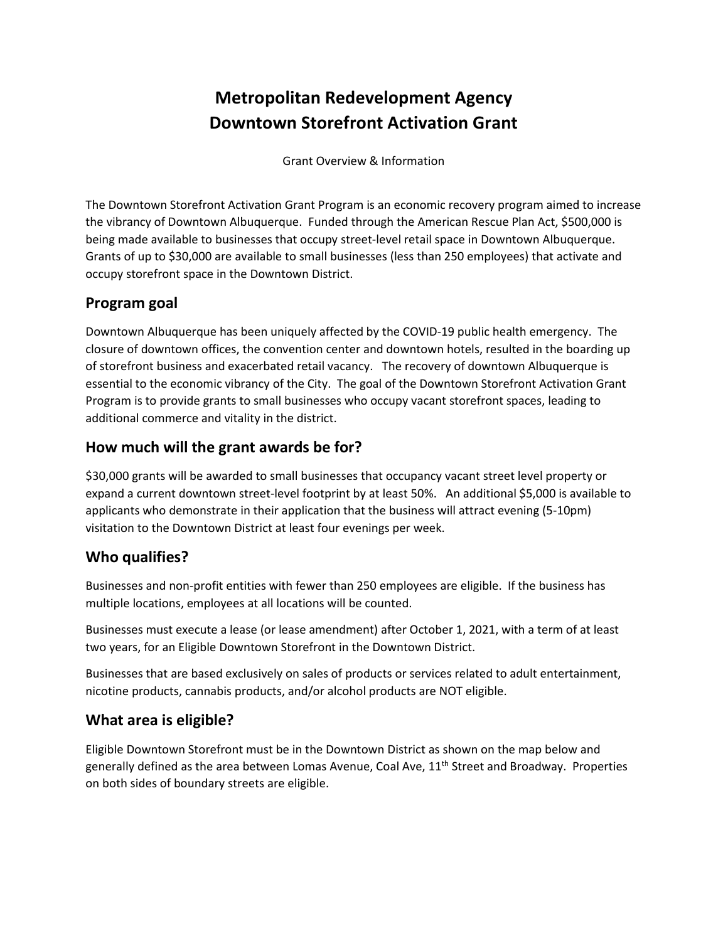# **Metropolitan Redevelopment Agency Downtown Storefront Activation Grant**

Grant Overview & Information

The Downtown Storefront Activation Grant Program is an economic recovery program aimed to increase the vibrancy of Downtown Albuquerque. Funded through the American Rescue Plan Act, \$500,000 is being made available to businesses that occupy street-level retail space in Downtown Albuquerque. Grants of up to \$30,000 are available to small businesses (less than 250 employees) that activate and occupy storefront space in the Downtown District.

## **Program goal**

Downtown Albuquerque has been uniquely affected by the COVID-19 public health emergency. The closure of downtown offices, the convention center and downtown hotels, resulted in the boarding up of storefront business and exacerbated retail vacancy. The recovery of downtown Albuquerque is essential to the economic vibrancy of the City. The goal of the Downtown Storefront Activation Grant Program is to provide grants to small businesses who occupy vacant storefront spaces, leading to additional commerce and vitality in the district.

## **How much will the grant awards be for?**

\$30,000 grants will be awarded to small businesses that occupancy vacant street level property or expand a current downtown street-level footprint by at least 50%. An additional \$5,000 is available to applicants who demonstrate in their application that the business will attract evening (5-10pm) visitation to the Downtown District at least four evenings per week.

## **Who qualifies?**

Businesses and non-profit entities with fewer than 250 employees are eligible. If the business has multiple locations, employees at all locations will be counted.

Businesses must execute a lease (or lease amendment) after October 1, 2021, with a term of at least two years, for an Eligible Downtown Storefront in the Downtown District.

Businesses that are based exclusively on sales of products or services related to adult entertainment, nicotine products, cannabis products, and/or alcohol products are NOT eligible.

## **What area is eligible?**

Eligible Downtown Storefront must be in the Downtown District as shown on the map below and generally defined as the area between Lomas Avenue, Coal Ave, 11<sup>th</sup> Street and Broadway. Properties on both sides of boundary streets are eligible.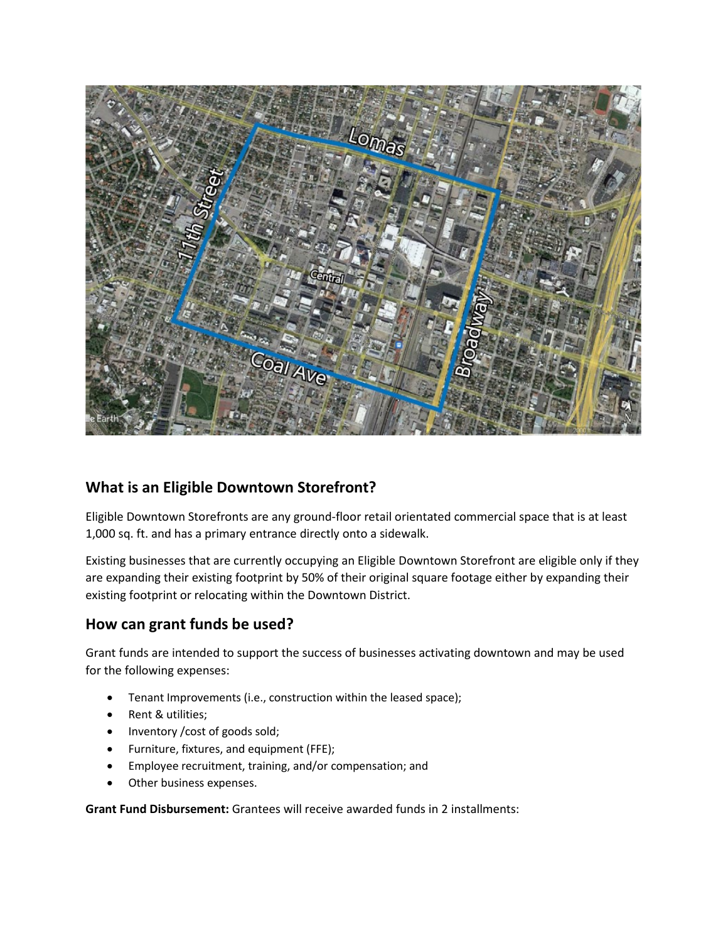

# **What is an Eligible Downtown Storefront?**

Eligible Downtown Storefronts are any ground-floor retail orientated commercial space that is at least 1,000 sq. ft. and has a primary entrance directly onto a sidewalk.

Existing businesses that are currently occupying an Eligible Downtown Storefront are eligible only if they are expanding their existing footprint by 50% of their original square footage either by expanding their existing footprint or relocating within the Downtown District.

# **How can grant funds be used?**

Grant funds are intended to support the success of businesses activating downtown and may be used for the following expenses:

- Tenant Improvements (i.e., construction within the leased space);
- Rent & utilities;
- Inventory /cost of goods sold;
- Furniture, fixtures, and equipment (FFE);
- Employee recruitment, training, and/or compensation; and
- Other business expenses.

**Grant Fund Disbursement:** Grantees will receive awarded funds in 2 installments: